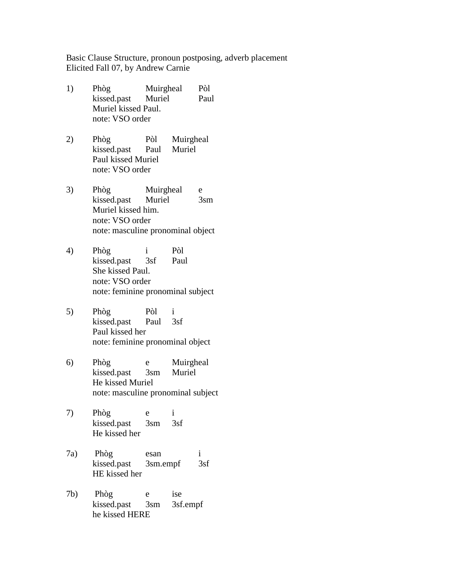Basic Clause Structure, pronoun postposing, adverb placement Elicited Fall 07, by Andrew Carnie

- 1) Phòg Muirgheal Pòl kissed.past Muriel Paul Muriel kissed Paul. note: VSO order
- 2) Phòg Pòl Muirgheal kissed.past Paul Muriel Paul kissed Muriel note: VSO order
- 3) Phòg Muirgheal e kissed.past Muriel 3sm Muriel kissed him. note: VSO order note: masculine pronominal object
- 4) Phòg i Pòl kissed.past 3sf Paul She kissed Paul. note: VSO order note: feminine pronominal subject
- 5) Phòg Pòl i kissed.past Paul 3sf Paul kissed her note: feminine pronominal object
- 6) Phòg e Muirgheal kissed.past 3sm Muriel He kissed Muriel note: masculine pronominal subject
- 7) Phòg e i kissed.past 3sm 3sf He kissed her
- 7a) Phòg esan i kissed.past 3sm.empf 3sf HE kissed her
- 7b) Phòg e ise kissed.past 3sm 3sf.empf he kissed HERE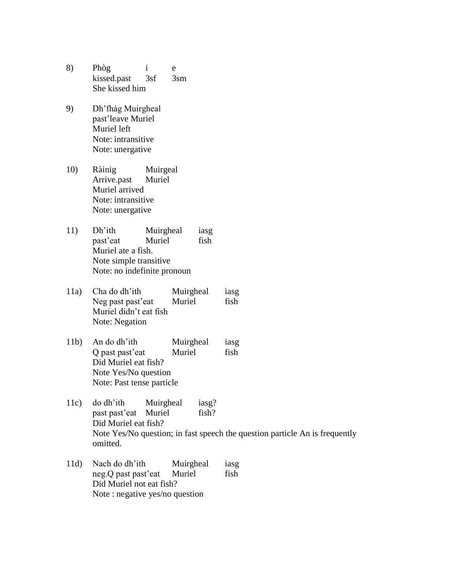- 8) Phòg i e kissed.past 3sf 3sm She kissed him
- 9) Dh'fhàg Muirgheal past'leave Muriel Muriel left Note: intransitive Note: unergative
- 10) Ràinig Muirgeal Arrive.past Muriel Muriel arrived Note: intransitive Note: unergative
- 11) Dh'ith Muirgheal iasg past'eat Muriel fish Muriel ate a fish. Note simple transitive Note: no indefinite pronoun
- 11a) Cha do dh'ith Muirgheal iasg Neg past past'eat Muriel fish Muriel didn't eat fish Note: Negation
- 11b) An do dh'ith Muirgheal iasg Q past past'eat Muriel fish Did Muriel eat fish? Note Yes/No question Note: Past tense particle
- 11c) do dh'ith Muirgheal iasg? past past'eat Muriel fish? Did Muriel eat fish? Note Yes/No question; in fast speech the question particle An is frequently omitted.
- 11d) Nach do dh'ith Muirgheal iasg neg. Q past past'eat Muriel fish Did Muriel not eat fish? Note : negative yes/no question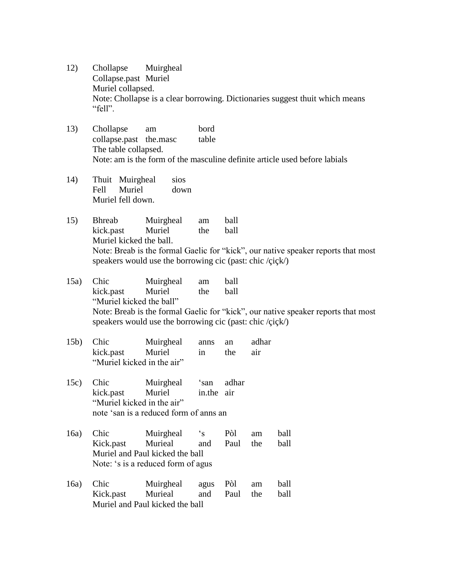- 12) Chollapse Muirgheal Collapse.past Muriel Muriel collapsed. Note: Chollapse is a clear borrowing. Dictionaries suggest thuit which means "fell".
- 13) Chollapse am bord collapse.past the.masc table The table collapsed. Note: am is the form of the masculine definite article used before labials
- 14) Thuit Muirgheal sios Fell Muriel down Muriel fell down.
- 15) Bhreab Muirgheal am ball kick.past Muriel the ball Muriel kicked the ball. Note: Breab is the formal Gaelic for "kick", our native speaker reports that most speakers would use the borrowing cic (past: chic /çiçk/)
- 15a) Chic Muirgheal am ball kick.past Muriel the ball "Muriel kicked the ball" Note: Breab is the formal Gaelic for "kick", our native speaker reports that most speakers would use the borrowing cic (past: chic /çiçk/)
- 15b) Chic Muirgheal anns an adhar kick.past Muriel in the air "Muriel kicked in the air"
- 15c) Chic Muirgheal 'san adhar kick.past Muriel in.the air "Muriel kicked in the air" note 'san is a reduced form of anns an
- 16a) Chic Muirgheal 's Pòl am ball Kick.past Murieal and Paul the ball Muriel and Paul kicked the ball Note: 's is a reduced form of agus
- 16a) Chic Muirgheal agus Pòl am ball Kick.past Murieal and Paul the ball Muriel and Paul kicked the ball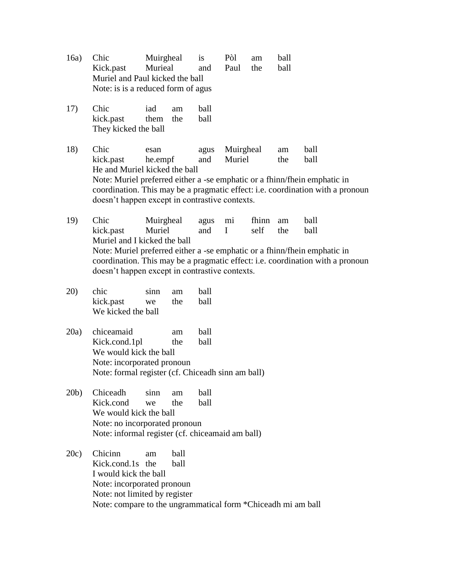- 16a) Chic Muirgheal is Pòl am ball Kick.past Murieal and Paul the ball Muriel and Paul kicked the ball Note: is is a reduced form of agus
- 17) Chic iad am ball kick.past them the ball They kicked the ball

18) Chic esan agus Muirgheal am ball kick.past he.empf and Muriel the ball He and Muriel kicked the ball Note: Muriel preferred either a -se emphatic or a fhinn/fhein emphatic in coordination. This may be a pragmatic effect: i.e. coordination with a pronoun doesn't happen except in contrastive contexts.

19) Chic Muirgheal agus mi fhinn am ball kick.past Muriel and I self the ball Muriel and I kicked the ball Note: Muriel preferred either a -se emphatic or a fhinn/fhein emphatic in coordination. This may be a pragmatic effect: i.e. coordination with a pronoun doesn't happen except in contrastive contexts.

- 20) chic sinn am ball kick.past we the ball We kicked the ball
- 20a) chiceamaid am ball Kick.cond.1pl the ball We would kick the ball Note: incorporated pronoun Note: formal register (cf. Chiceadh sinn am ball)
- 20b) Chiceadh sinn am ball Kick.cond we the ball We would kick the ball Note: no incorporated pronoun Note: informal register (cf. chiceamaid am ball)

20c) Chicinn am ball Kick.cond.1s the ball I would kick the ball Note: incorporated pronoun Note: not limited by register Note: compare to the ungrammatical form \*Chiceadh mi am ball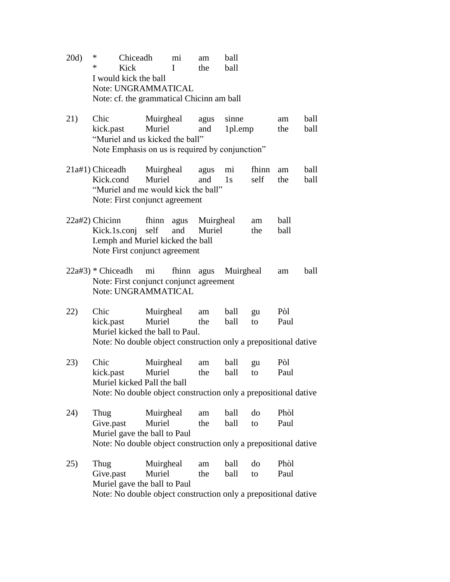- 20d) \* Chiceadh mi am ball \* Kick I the ball I would kick the ball Note: UNGRAMMATICAL Note: cf. the grammatical Chicinn am ball
- 21) Chic Muirgheal agus sinne am ball kick.past Muriel and 1pl.emp the ball "Muriel and us kicked the ball" Note Emphasis on us is required by conjunction"
- 21a#1) Chiceadh Muirgheal agus mi fhinn am ball Kick.cond Muriel and 1s self the ball "Muriel and me would kick the ball" Note: First conjunct agreement
- 22a#2) Chicinn fhinn agus Muirgheal am ball Kick.1s.conj self and Muriel the ball I.emph and Muriel kicked the ball Note First conjunct agreement
- 22a#3) \* Chiceadh mi fhinn agus Muirgheal am ball Note: First conjunct conjunct agreement Note: UNGRAMMATICAL
- 22) Chic Muirgheal am ball gu Pòl kick.past Muriel the ball to Paul Muriel kicked the ball to Paul. Note: No double object construction only a prepositional dative
- 23) Chic Muirgheal am ball gu Pòl kick.past Muriel the ball to Paul Muriel kicked Pall the ball Note: No double object construction only a prepositional dative
- 24) Thug Muirgheal am ball do Phòl Give.past Muriel the ball to Paul Muriel gave the ball to Paul Note: No double object construction only a prepositional dative
- 25) Thug Muirgheal am ball do Phòl Give.past Muriel the ball to Paul Muriel gave the ball to Paul Note: No double object construction only a prepositional dative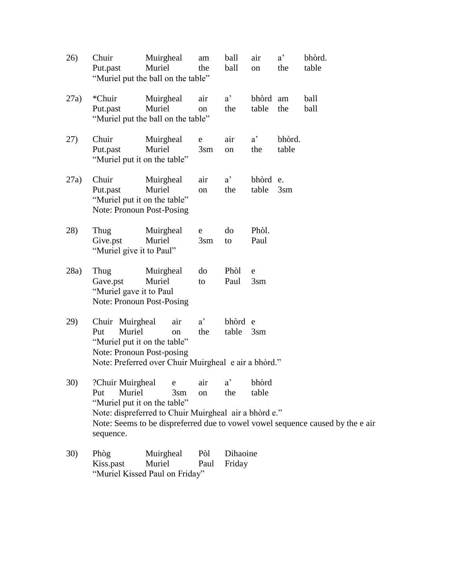| 26)  | Chuir<br>Put.past                                                                             | Muirgheal<br>Muriel<br>"Muriel put the ball on the table"                     | am<br>the                 | ball<br>ball        | air<br>on           | $a^{\prime}$<br>the | bhòrd.<br>table                                                                |
|------|-----------------------------------------------------------------------------------------------|-------------------------------------------------------------------------------|---------------------------|---------------------|---------------------|---------------------|--------------------------------------------------------------------------------|
| 27a) | *Chuir<br>Put.past                                                                            | Muirgheal<br>Muriel<br>"Muriel put the ball on the table"                     | air<br>on                 | $a^{\prime}$<br>the | bhòrd am<br>table   | the                 | ball<br>ball                                                                   |
| 27)  | Chuir<br>Put.past<br>"Muriel put it on the table"                                             | Muirgheal<br>Muriel                                                           | e<br>3 <sub>sm</sub>      | air<br>on           | $a^{\prime}$<br>the | bhòrd.<br>table     |                                                                                |
| 27a) | Chuir<br>Put.past<br>"Muriel put it on the table"<br>Note: Pronoun Post-Posing                | Muirgheal<br>Muriel                                                           | air<br>on                 | $a^{\prime}$<br>the | bhòrd e.<br>table   | $3\text{sm}$        |                                                                                |
| 28)  | Thug<br>Give.pst<br>"Muriel give it to Paul"                                                  | Muirgheal<br>Muriel                                                           | ${\bf e}$<br>$3\text{sm}$ | do<br>to            | Phòl.<br>Paul       |                     |                                                                                |
| 28a) | Thug<br>Gave.pst<br>"Muriel gave it to Paul<br>Note: Pronoun Post-Posing                      | Muirgheal<br>Muriel                                                           | do<br>to                  | Phòl<br>Paul        | e<br>$3\text{sm}$   |                     |                                                                                |
| 29)  | Chuir Muirgheal<br>Muriel<br>Put<br>"Muriel put it on the table"<br>Note: Pronoun Post-posing | air<br>on<br>Note: Preferred over Chuir Muirgheal e air a bhòrd."             | $a^{\prime}$<br>the       | bhòrd e<br>table    | $3\text{sm}$        |                     |                                                                                |
| 30)  | ?Chuir Muirgheal<br>Muriel<br>Put<br>"Muriel put it on the table"<br>sequence.                | e<br>3 <sub>sm</sub><br>Note: dispreferred to Chuir Muirgheal air a bhòrd e." | air<br>on                 | $a^{\prime}$<br>the | bhòrd<br>table      |                     | Note: Seems to be dispreferred due to vowel vowel sequence caused by the e air |
| 30)  | Phòg<br>Kiss.past                                                                             | Muirgheal<br>Muriel                                                           | Pòl<br>Paul               | Dihaoine<br>Friday  |                     |                     |                                                                                |

"Muriel Kissed Paul on Friday"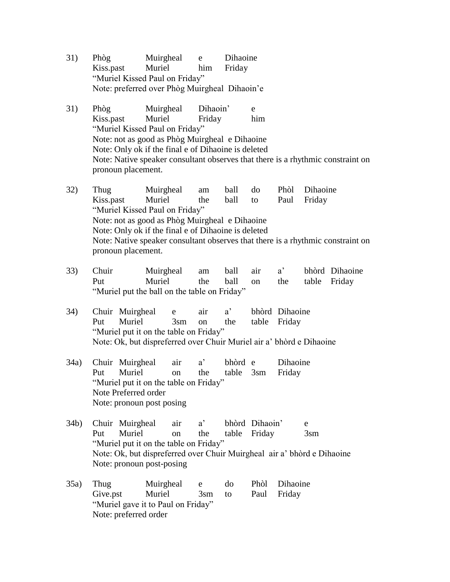- 31) Phòg Muirgheal e Dihaoine Kiss.past Muriel him Friday "Muriel Kissed Paul on Friday" Note: preferred over Phòg Muirgheal Dihaoin'e
- 31) Phòg Muirgheal Dihaoin' e Kiss.past Muriel Friday him "Muriel Kissed Paul on Friday" Note: not as good as Phòg Muirgheal e Dihaoine Note: Only ok if the final e of Dihaoine is deleted Note: Native speaker consultant observes that there is a rhythmic constraint on pronoun placement.
- 32) Thug Muirgheal am ball do Phòl Dihaoine Kiss.past Muriel the ball to Paul Friday "Muriel Kissed Paul on Friday" Note: not as good as Phòg Muirgheal e Dihaoine Note: Only ok if the final e of Dihaoine is deleted Note: Native speaker consultant observes that there is a rhythmic constraint on pronoun placement.
- 33) Chuir Muirgheal am ball air a' bhòrd Dihaoine Put Muriel the ball on the table Friday "Muriel put the ball on the table on Friday"
- 34) Chuir Muirgheal e air a' bhòrd Dihaoine Put Muriel 3sm on the table Friday "Muriel put it on the table on Friday" Note: Ok, but dispreferred over Chuir Muriel air a' bhòrd e Dihaoine
- 34a) Chuir Muirgheal air a' bhòrd e Dihaoine Put Muriel on the table 3sm Friday "Muriel put it on the table on Friday" Note Preferred order Note: pronoun post posing
- 34b) Chuir Muirgheal air a' bhòrd Dihaoin' e Put Muriel on the table Friday 3sm "Muriel put it on the table on Friday" Note: Ok, but dispreferred over Chuir Muirgheal air a' bhòrd e Dihaoine Note: pronoun post-posing
- 35a) Thug Muirgheal e do Phòl Dihaoine Give.pst Muriel 3sm to Paul Friday "Muriel gave it to Paul on Friday" Note: preferred order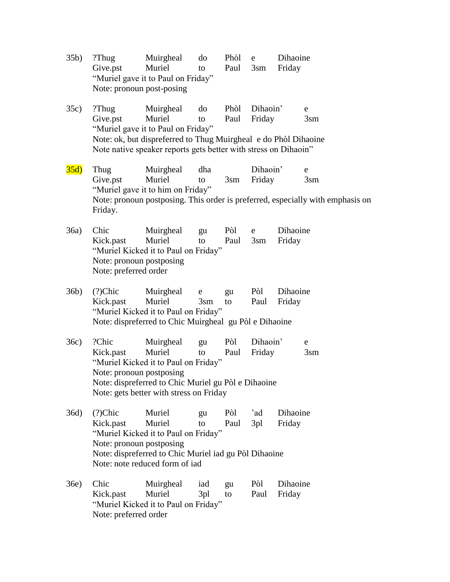| 35b) | $?$ Thug<br>Give.pst<br>Note: pronoun post-posing                      | Muirgheal<br>Muriel<br>"Muriel gave it to Paul on Friday"                                                                                                                                       | do<br>to             | Phòl<br>Paul    | $\mathbf e$<br>$3\text{sm}$ | Dihaoine<br>Friday |                                                                                                                  |
|------|------------------------------------------------------------------------|-------------------------------------------------------------------------------------------------------------------------------------------------------------------------------------------------|----------------------|-----------------|-----------------------------|--------------------|------------------------------------------------------------------------------------------------------------------|
| 35c) | ?Thug<br>Give.pst                                                      | Muirgheal<br>Muriel<br>"Muriel gave it to Paul on Friday"<br>Note: ok, but dispreferred to Thug Muirgheal e do Phòl Dihaoine<br>Note native speaker reports gets better with stress on Dihaoin" | do<br>to             | Phòl<br>Paul    | Dihaoin'<br>Friday          |                    | e<br>3 <sub>sm</sub>                                                                                             |
| 35d) | Thug<br>Give.pst<br>Friday.                                            | Muirgheal<br>Muriel<br>"Muriel gave it to him on Friday"                                                                                                                                        | dha<br>to            | 3 <sub>sm</sub> | Dihaoin'<br>Friday          |                    | $\mathbf e$<br>3 <sub>sm</sub><br>Note: pronoun postposing. This order is preferred, especially with emphasis on |
| 36a) | Chic<br>Kick.past<br>Note: pronoun postposing<br>Note: preferred order | Muirgheal<br>Muriel<br>"Muriel Kicked it to Paul on Friday"                                                                                                                                     | gu<br>to             | Pòl<br>Paul     | e<br>3 <sub>sm</sub>        | Dihaoine<br>Friday |                                                                                                                  |
| 36b) | (?) <i>C</i> hic<br>Kick.past                                          | Muirgheal<br>Muriel<br>"Muriel Kicked it to Paul on Friday"<br>Note: dispreferred to Chic Muirgheal gu Pòl e Dihaoine                                                                           | e<br>3 <sub>sm</sub> | gu<br>to        | Pòl<br>Paul                 | Dihaoine<br>Friday |                                                                                                                  |
| 36c) | ?Chic<br>Kick.past<br>Note: pronoun postposing                         | Muirgheal<br>Muriel<br>"Muriel Kicked it to Paul on Friday"<br>Note: dispreferred to Chic Muriel gu Pòl e Dihaoine<br>Note: gets better with stress on Friday                                   | gu<br>to             | Pòl<br>Paul     | Dihaoin'<br>Friday          |                    | e<br>3 <sub>sm</sub>                                                                                             |
| 36d) | (?) <i>C</i> hic<br>Kick.past<br>Note: pronoun postposing              | Muriel<br>Muriel<br>"Muriel Kicked it to Paul on Friday"<br>Note: dispreferred to Chic Muriel iad gu Pòl Dihaoine<br>Note: note reduced form of jad                                             | gu<br>to             | Pòl<br>Paul     | 'ad<br>3pl                  | Dihaoine<br>Friday |                                                                                                                  |
| 36e) | Chic<br>Kick.past<br>Note: preferred order                             | Muirgheal<br>Muriel<br>"Muriel Kicked it to Paul on Friday"                                                                                                                                     | iad<br>3pl           | gu<br>to        | Pòl<br>Paul                 | Dihaoine<br>Friday |                                                                                                                  |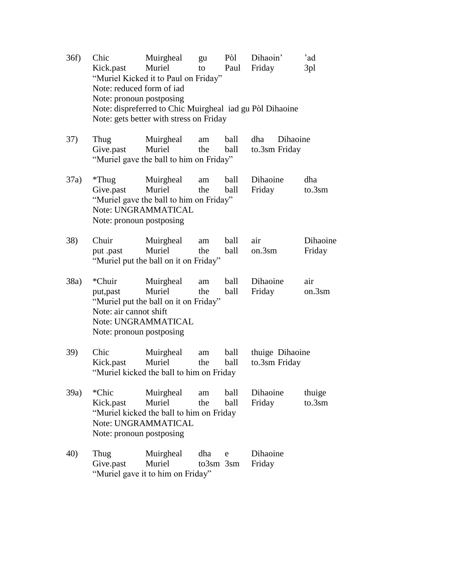| 36f) | Chic<br>Kick.past<br>Note: reduced form of jad<br>Note: pronoun postposing | Muirgheal<br>Muriel<br>"Muriel Kicked it to Paul on Friday"<br>Note: dispreferred to Chic Muirgheal iad gu Pòl Dihaoine<br>Note: gets better with stress on Friday | gu<br>to               | Pòl<br>Paul  | Dihaoin'<br>Friday               | 'ad<br>3pl          |
|------|----------------------------------------------------------------------------|--------------------------------------------------------------------------------------------------------------------------------------------------------------------|------------------------|--------------|----------------------------------|---------------------|
| 37)  | Thug<br>Give.past                                                          | Muirgheal<br>Muriel<br>"Muriel gave the ball to him on Friday"                                                                                                     | am<br>the              | ball<br>ball | Dihaoine<br>dha<br>to.3sm Friday |                     |
| 37a) | $*$ Thug<br>Give.past<br>Note: pronoun postposing                          | Muirgheal<br>Muriel<br>"Muriel gave the ball to him on Friday"<br>Note: UNGRAMMATICAL                                                                              | am<br>the              | ball<br>ball | Dihaoine<br>Friday               | dha<br>to.3sm       |
| 38)  | Chuir<br>put .past                                                         | Muirgheal<br>Muriel<br>"Muriel put the ball on it on Friday"                                                                                                       | am<br>the              | ball<br>ball | air<br>on.3sm                    | Dihaoine<br>Friday  |
| 38a) | *Chuir<br>put, past<br>Note: air cannot shift<br>Note: pronoun postposing  | Muirgheal<br>Muriel<br>"Muriel put the ball on it on Friday"<br>Note: UNGRAMMATICAL                                                                                | am<br>the              | ball<br>ball | Dihaoine<br>Friday               | air<br>on.3sm       |
| 39)  | Chic<br>Kick.past                                                          | Muirgheal<br>Muriel<br>"Muriel kicked the ball to him on Friday"                                                                                                   | am<br>the              | ball<br>ball | thuige Dihaoine<br>to.3sm Friday |                     |
| 39a) | *Chic<br>Kick.past<br>Note: pronoun postposing                             | Muirgheal<br>Muriel<br>"Muriel kicked the ball to him on Friday"<br>Note: UNGRAMMATICAL                                                                            | am<br>the              | ball<br>ball | Dihaoine<br>Friday               | thuige<br>$to.3$ sm |
| 40)  | Thug<br>Give.past                                                          | Muirgheal<br>Muriel<br>"Muriel gave it to him on Friday"                                                                                                           | dha<br>$to3$ sm $3$ sm | e            | Dihaoine<br>Friday               |                     |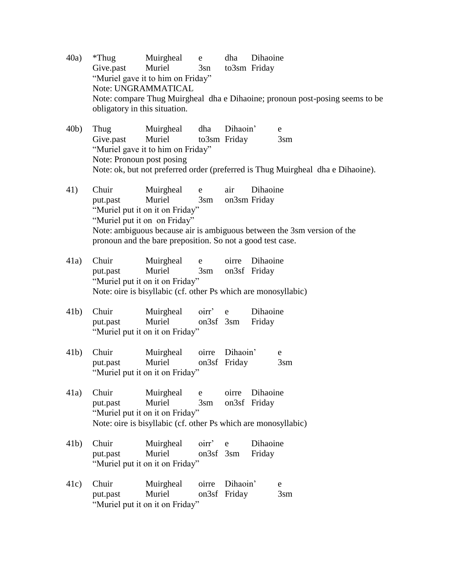- 40a) \*Thug Muirgheal e dha Dihaoine Give.past Muriel 3sn to3sm Friday "Muriel gave it to him on Friday" Note: UNGRAMMATICAL Note: compare Thug Muirgheal dha e Dihaoine; pronoun post-posing seems to be obligatory in this situation.
- 40b) Thug Muirgheal dha Dihaoin' e Give.past Muriel to3sm Friday 3sm "Muriel gave it to him on Friday" Note: Pronoun post posing Note: ok, but not preferred order (preferred is Thug Muirgheal dha e Dihaoine).
- 41) Chuir Muirgheal e air Dihaoine put.past Muriel 3sm on3sm Friday "Muriel put it on it on Friday" "Muriel put it on on Friday" Note: ambiguous because air is ambiguous between the 3sm version of the pronoun and the bare preposition. So not a good test case.
- 41a) Chuir Muirgheal e oirre Dihaoine put.past Muriel 3sm on3sf Friday "Muriel put it on it on Friday" Note: oire is bisyllabic (cf. other Ps which are monosyllabic)
- 41b) Chuir Muirgheal oirr' e Dihaoine put.past Muriel on3sf 3sm Friday "Muriel put it on it on Friday"
- 41b) Chuir Muirgheal oirre Dihaoin' e put.past Muriel on3sf Friday 3sm "Muriel put it on it on Friday"
- 41a) Chuir Muirgheal e oirre Dihaoine put.past Muriel 3sm on3sf Friday "Muriel put it on it on Friday" Note: oire is bisyllabic (cf. other Ps which are monosyllabic)
- 41b) Chuir Muirgheal oirr' e Dihaoine put.past Muriel on3sf 3sm Friday "Muriel put it on it on Friday"
- 41c) Chuir Muirgheal oirre Dihaoin' e put.past Muriel on3sf Friday 3sm "Muriel put it on it on Friday"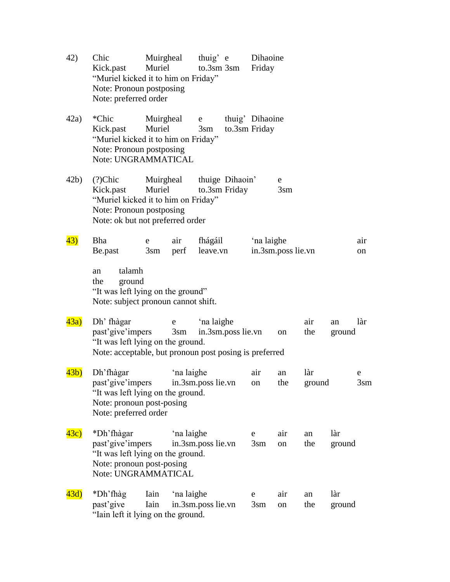| 42)              | Chic<br>Kick.past<br>"Muriel kicked it to him on Friday"<br>Note: Pronoun postposing<br>Note: preferred order                        | Muirgheal<br>Muriel  |                   | thuig' e<br>$to.3$ sm $3$ sm |                                  | Dihaoine<br>Friday               |                      |               |               |           |
|------------------|--------------------------------------------------------------------------------------------------------------------------------------|----------------------|-------------------|------------------------------|----------------------------------|----------------------------------|----------------------|---------------|---------------|-----------|
| 42a)             | *Chic<br>Kick.past<br>"Muriel kicked it to him on Friday"<br>Note: Pronoun postposing<br>Note: UNGRAMMATICAL                         | Muirgheal<br>Muriel  |                   | e<br>3 <sub>sm</sub>         |                                  | thuig' Dihaoine<br>to.3sm Friday |                      |               |               |           |
| 42b)             | (?) <i>C</i> hic<br>Kick.past<br>"Muriel kicked it to him on Friday"<br>Note: Pronoun postposing<br>Note: ok but not preferred order | Muirgheal<br>Muriel  |                   |                              | thuige Dihaoin'<br>to.3sm Friday |                                  | e<br>3 <sub>sm</sub> |               |               |           |
| 43)              | Bha<br>Be.past                                                                                                                       | e<br>3 <sub>sm</sub> | air<br>perf       | fhágáil<br>leave.vn          |                                  | 'na laighe                       | in.3sm.poss lie.vn   |               |               | air<br>on |
|                  | talamh<br>an<br>ground<br>the<br>"It was left lying on the ground"<br>Note: subject pronoun cannot shift.                            |                      |                   |                              |                                  |                                  |                      |               |               |           |
| 43a)             | Dh' fhàgar<br>past'give'impers<br>"It was left lying on the ground.<br>Note: acceptable, but pronoun post posing is preferred        |                      | e<br>$3\text{sm}$ | 'na laighe                   | in.3sm.poss lie.vn               |                                  | <sub>on</sub>        | air<br>the    | an<br>ground  | làr       |
| 43 <sub>b</sub>  | Dh'fhàgar<br>past'give'impers<br>"It was left lying on the ground.<br>Note: pronoun post-posing<br>Note: preferred order             |                      | 'na laighe        | in.3sm.poss lie.vn           |                                  | air<br>on                        | an<br>the            | làr<br>ground |               | e<br>3sm  |
| 43c)             | *Dh'fhàgar<br>past'give'impers<br>"It was left lying on the ground.<br>Note: pronoun post-posing<br>Note: UNGRAMMATICAL              |                      | 'na laighe        | in.3sm.poss lie.vn           |                                  | e<br>3 <sub>sm</sub>             | air<br>on            | an<br>the     | làr<br>ground |           |
| $\overline{43d}$ | *Dh'fhàg<br>past'give<br>"Iain left it lying on the ground.                                                                          | Iain<br>Iain         | 'na laighe        | in.3sm.poss lie.vn           |                                  | e<br>$3\text{sm}$                | air<br>on            | an<br>the     | làr<br>ground |           |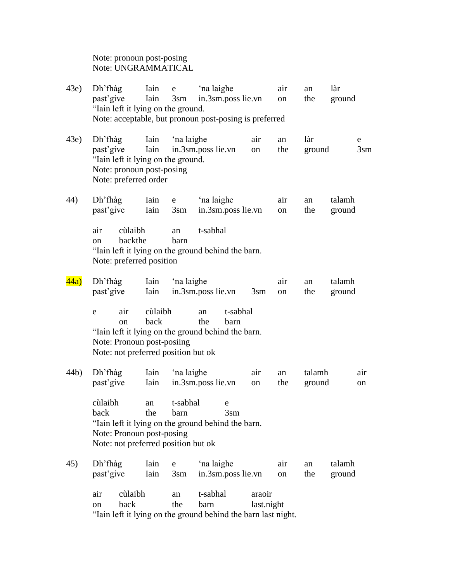Note: pronoun post-posing Note: UNGRAMMATICAL

| (43e) | Dh'fhàg<br>past'give<br>"Iain left it lying on the ground.                                                          | Iain<br>Iain    | e<br>$3\text{sm}$ | 'na laighe<br>in.3sm.poss lie.vn<br>Note: acceptable, but pronoun post-posing is preferred |                      | air<br>on | an<br>the        | làr<br>ground    |               |
|-------|---------------------------------------------------------------------------------------------------------------------|-----------------|-------------------|--------------------------------------------------------------------------------------------|----------------------|-----------|------------------|------------------|---------------|
| (43e) | $Dh$ 'fhàg<br>past'give<br>"Iain left it lying on the ground.<br>Note: pronoun post-posing<br>Note: preferred order | Iain<br>Iain    | 'na laighe        | in.3sm.poss lie.vn                                                                         | air<br>on            | an<br>the | làr<br>ground    | e                | $3 \text{sm}$ |
| 44)   | Dh'fhàg<br>past'give                                                                                                | Iain<br>Iain    | e<br>$3\text{sm}$ | 'na laighe<br>in.3sm.poss lie.vn                                                           |                      | air<br>on | an<br>the        | talamh<br>ground |               |
|       | cùlaibh<br>air<br>backthe<br>on<br>Note: preferred position                                                         |                 | an<br>barn        | t-sabhal<br>"Iain left it lying on the ground behind the barn.                             |                      |           |                  |                  |               |
| 44a)  | Dh'fhàg<br>past'give                                                                                                | Iain<br>Iain    | 'na laighe        | in.3sm.poss lie.vn                                                                         | $3\text{sm}$         | air<br>on | an<br>the        | talamh<br>ground |               |
|       | air<br>e<br>on<br>Note: Pronoun post-posiing<br>Note: not preferred position but ok                                 | cùlaibh<br>back |                   | t-sabhal<br>an<br>the<br>barn<br>"Iain left it lying on the ground behind the barn.        |                      |           |                  |                  |               |
| 44b)  | Dh'fhàg<br>past'give                                                                                                | Iain<br>Iain    | 'na laighe        | in.3sm.poss lie.vn                                                                         | air<br>on            | an<br>the | talamh<br>ground |                  | air<br>on     |
|       | cùlaibh<br>back<br>Note: Pronoun post-posing<br>Note: not preferred position but ok                                 | an<br>the       | t-sabhal<br>barn  | e<br>3sm<br>"Iain left it lying on the ground behind the barn.                             |                      |           |                  |                  |               |
| 45)   | Dh'fhàg<br>past'give                                                                                                | Iain<br>Iain    | e<br>$3\text{sm}$ | 'na laighe<br>in.3sm.poss lie.vn                                                           |                      | air<br>on | an<br>the        | talamh<br>ground |               |
|       | cùlaibh<br>air<br>back<br>on                                                                                        |                 | an<br>the         | t-sabhal<br>barn<br>"Iain left it lying on the ground behind the barn last night.          | araoir<br>last.night |           |                  |                  |               |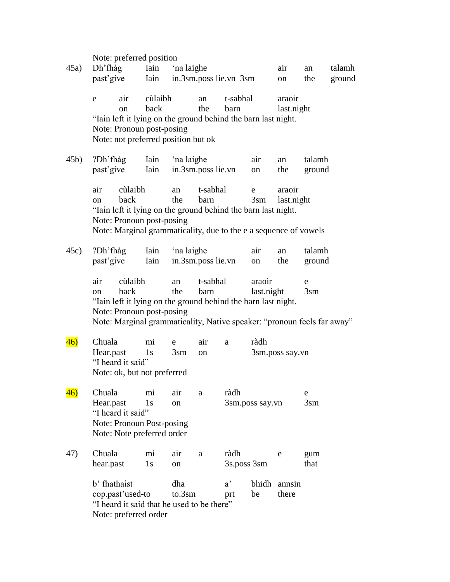|      |                        |                                           | Note: preferred position                                            |                      |                                                                                                                                                              |                     |                      |                       |                      |        |
|------|------------------------|-------------------------------------------|---------------------------------------------------------------------|----------------------|--------------------------------------------------------------------------------------------------------------------------------------------------------------|---------------------|----------------------|-----------------------|----------------------|--------|
| 45a) | Dh'fhàg                |                                           | Iain                                                                | 'na laighe           |                                                                                                                                                              |                     |                      | air                   | an                   | talamh |
|      | past'give              |                                           | Iain                                                                |                      | in.3sm.poss lie.vn 3sm                                                                                                                                       |                     |                      | on                    | the                  | ground |
|      | e                      | air<br><sub>on</sub>                      | cùlaibh<br>back                                                     |                      | an<br>the                                                                                                                                                    | t-sabhal<br>barn    |                      | araoir<br>last.night  |                      |        |
|      |                        |                                           | Note: Pronoun post-posing<br>Note: not preferred position but ok    |                      | "Iain left it lying on the ground behind the barn last night.                                                                                                |                     |                      |                       |                      |        |
| 45b) | $?Dh'fh\$<br>past'give |                                           | Iain<br>Iain                                                        | 'na laighe           | in.3sm.poss lie.vn                                                                                                                                           |                     | air<br>on            | an<br>the             | talamh<br>ground     |        |
|      | air<br>on              | cùlaibh<br>back                           | Note: Pronoun post-posing                                           | an<br>the            | t-sabhal<br>barn<br>"Iain left it lying on the ground behind the barn last night.<br>Note: Marginal grammaticality, due to the e a sequence of vowels        |                     | e<br>$3\text{sm}$    | araoir<br>last.night  |                      |        |
| 45c) | $?Dh'fh\$<br>past'give |                                           | Iain<br>Iain                                                        | 'na laighe           | in.3sm.poss lie.vn                                                                                                                                           |                     | air<br>on            | an<br>the             | talamh<br>ground     |        |
|      | air<br>on              | cùlaibh<br>back                           | Note: Pronoun post-posing                                           | an<br>the            | t-sabhal<br>barn<br>"Iain left it lying on the ground behind the barn last night.<br>Note: Marginal grammaticality, Native speaker: "pronoun feels far away" |                     | araoir<br>last.night |                       | e<br>3 <sub>sm</sub> |        |
| 46)  | Chuala<br>Hear.past    | "I heard it said"                         | mi<br>1s<br>Note: ok, but not preferred                             | e<br>3 <sub>sm</sub> | air<br>on                                                                                                                                                    | a                   | ràdh                 | 3sm.poss say.vn       |                      |        |
| 46)  | Chuala<br>Hear.past    | "I heard it said"                         | mi<br>1s<br>Note: Pronoun Post-posing<br>Note: Note preferred order | air<br>on            | a                                                                                                                                                            | ràdh                | 3sm.poss say.vn      |                       | e<br>3 <sub>sm</sub> |        |
| 47)  | Chuala<br>hear.past    |                                           | mi<br>1s                                                            | air<br>on            | a                                                                                                                                                            | ràdh<br>3s.poss 3sm |                      | e                     | gum<br>that          |        |
|      | b' fhathaist           | cop.past'used-to<br>Note: preferred order |                                                                     | dha<br>to.3sm        | "I heard it said that he used to be there"                                                                                                                   | $a^{\prime}$<br>prt | be                   | bhidh annsin<br>there |                      |        |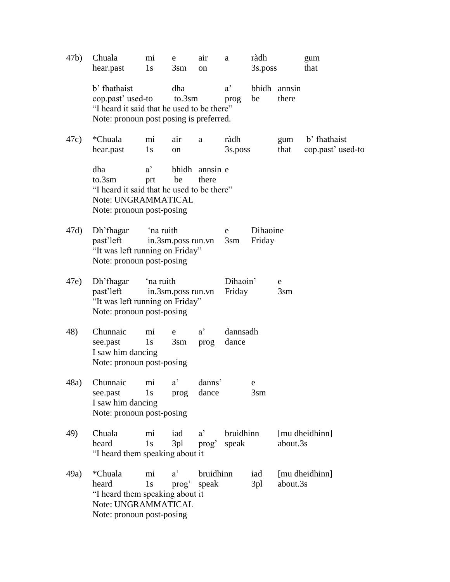| 47b) | Chuala<br>hear.past                                                                                                        | mi<br>1s            | e<br>$3\text{sm}$  | air<br>on                         | a                    | ràdh<br>3s.poss    |                       | gum<br>that                       |
|------|----------------------------------------------------------------------------------------------------------------------------|---------------------|--------------------|-----------------------------------|----------------------|--------------------|-----------------------|-----------------------------------|
|      | b' fhathaist<br>cop.past' used-to<br>"I heard it said that he used to be there"<br>Note: pronoun post posing is preferred. |                     | dha<br>to.3sm      |                                   | $a^{\prime}$<br>prog | be                 | bhidh annsin<br>there |                                   |
| 47c) | *Chuala<br>hear.past                                                                                                       | mi<br>1s            | air<br>on          | a                                 | ràdh<br>3s.poss      |                    | gum<br>that           | b' fhathaist<br>cop.past' used-to |
|      | dha<br>to.3sm<br>"I heard it said that he used to be there"<br>Note: UNGRAMMATICAL<br>Note: pronoun post-posing            | $a^{\prime}$<br>prt | be                 | bhidh annsin e<br>there           |                      |                    |                       |                                   |
| 47d) | Dh'fhagar<br>past'left<br>"It was left running on Friday"<br>Note: pronoun post-posing                                     | 'na ruith           | in.3sm.poss run.vn |                                   | e<br>$3\text{sm}$    | Dihaoine<br>Friday |                       |                                   |
| 47e) | Dh'fhagar<br>past'left<br>"It was left running on Friday"<br>Note: pronoun post-posing                                     | 'na ruith           | in.3sm.poss run.vn |                                   | Dihaoin'<br>Friday   |                    | e<br>3 <sub>sm</sub>  |                                   |
| 48)  | Chunnaic<br>see.past<br>I saw him dancing<br>Note: pronoun post-posing                                                     | mi<br>1s            | e<br>$3\text{sm}$  | $a^{\prime}$<br>prog              | dannsadh<br>dance    |                    |                       |                                   |
|      | 48a) Chunnaic mi a'<br>see.past<br>I saw him dancing<br>Note: pronoun post-posing                                          | 1s                  | prog               | danns'<br>dance                   |                      | $3\text{sm}$       |                       |                                   |
| 49)  | Chuala<br>heard<br>"I heard them speaking about it                                                                         | mi<br>1s            | iad<br>3pl         | $a^{\prime}$<br>prog <sup>2</sup> | bruidhinn<br>speak   |                    | about.3s              | [mu dheidhinn]                    |
| 49a) | <i>*Chuala</i><br>heard<br>"I heard them speaking about it<br>Note: UNGRAMMATICAL<br>Note: pronoun post-posing             | mi<br>1s            | $a^{\prime}$       | bruidhinn<br>prog speak           |                      | iad<br>3pl         | about.3s              | [mu dheidhinn]                    |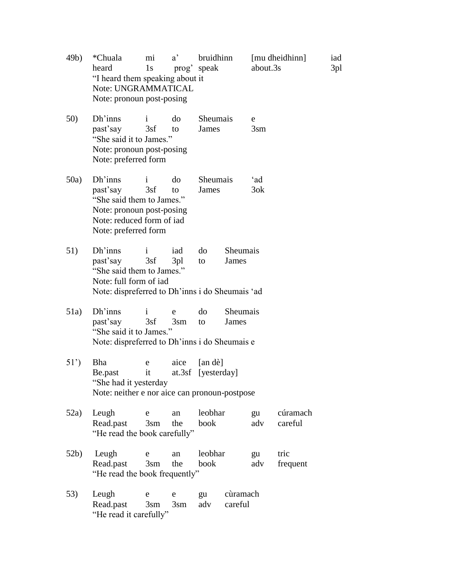| 49b) | *Chuala<br>heard<br>"I heard them speaking about it<br>Note: UNGRAMMATICAL<br>Note: pronoun post-posing                            | mi<br>1s             | $a^{\prime}$         | bruidhinn<br>prog speak       |                     | about.3s             | [mu dheidhinn]      | iad<br>3pl |
|------|------------------------------------------------------------------------------------------------------------------------------------|----------------------|----------------------|-------------------------------|---------------------|----------------------|---------------------|------------|
| 50)  | Dh'inns<br>past'say<br>"She said it to James."<br>Note: pronoun post-posing<br>Note: preferred form                                | $\mathbf{i}$<br>3sf  | do<br>to             | Sheumais<br>James             |                     | e<br>3 <sub>sm</sub> |                     |            |
| 50a) | Dh'inns<br>past'say<br>"She said them to James."<br>Note: pronoun post-posing<br>Note: reduced form of iad<br>Note: preferred form | $\mathbf{i}$<br>3sf  | do<br>to             | Sheumais<br>James             |                     | ʻad<br>3ok           |                     |            |
| 51)  | Dh'inns<br>past'say<br>"She said them to James."<br>Note: full form of iad<br>Note: dispreferred to Dh'inns i do Sheumais 'ad      | $\mathbf{i}$<br>3sf  | iad<br>3pl           | do<br>to                      | Sheumais<br>James   |                      |                     |            |
| 51a) | Dh'inns<br>past'say<br>"She said it to James."<br>Note: dispreferred to Dh'inns i do Sheumais e                                    | $\mathbf{i}$<br>3sf  | e<br>$3 \text{sm}$   | do<br>to                      | Sheumais<br>James   |                      |                     |            |
| 51') | Bha<br>Be.past<br>"She had it yesterday"<br>Note: neither e nor aice can pronoun-postpose                                          | e<br>it              | aice                 | [an de]<br>at.3sf [yesterday] |                     |                      |                     |            |
| 52a) | Leugh<br>Read.past<br>"He read the book carefully"                                                                                 | e<br>$3 \text{sm}$   | an<br>the            | leobhar<br>book               |                     | gu<br>adv            | cúramach<br>careful |            |
| 52b) | Leugh<br>Read.past<br>"He read the book frequently"                                                                                | e<br>3 <sub>sm</sub> | an<br>the            | leobhar<br>book               |                     | gu<br>adv            | tric<br>frequent    |            |
| 53)  | Leugh<br>Read.past<br>"He read it carefully"                                                                                       | e<br>3 <sub>sm</sub> | e<br>3 <sub>sm</sub> | gu<br>adv                     | cùramach<br>careful |                      |                     |            |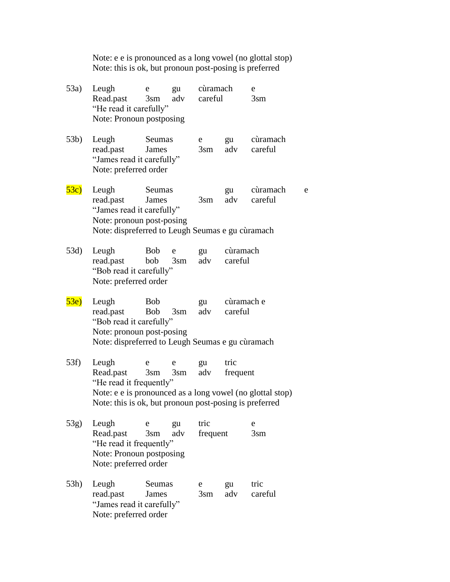| Note: e e is pronounced as a long vowel (no glottal stop) |
|-----------------------------------------------------------|
| Note: this is ok, but pronoun post-posing is preferred    |

| 53a)            | Leugh<br>Read.past<br>"He read it carefully"<br>Note: Pronoun postposing                                                                                             | e<br>$3 \text{sm}$       | gu<br>adv            | cùramach<br>careful  |                       | e<br>$3\text{sm}$    |   |
|-----------------|----------------------------------------------------------------------------------------------------------------------------------------------------------------------|--------------------------|----------------------|----------------------|-----------------------|----------------------|---|
| 53 <sub>b</sub> | Leugh<br>read.past<br>"James read it carefully"<br>Note: preferred order                                                                                             | Seumas<br>James          |                      | e<br>$3 \text{sm}$   | gu<br>adv             | cùramach<br>careful  |   |
| 53c)            | Leugh<br>read.past<br>"James read it carefully"<br>Note: pronoun post-posing<br>Note: dispreferred to Leugh Seumas e gu cùramach                                     | Seumas<br>James          |                      | $3\text{sm}$         | gu<br>adv             | cùramach<br>careful  | e |
| 53d)            | Leugh<br>read.past<br>"Bob read it carefully"<br>Note: preferred order                                                                                               | <b>Bob</b><br>bob        | e<br>$3\text{sm}$    | gu<br>adv            | cùramach<br>careful   |                      |   |
| 53e)            | Leugh<br>read.past<br>"Bob read it carefully"<br>Note: pronoun post-posing<br>Note: dispreferred to Leugh Seumas e gu cùramach                                       | <b>Bob</b><br><b>Bob</b> | $3\text{sm}$         | gu<br>adv            | cùramach e<br>careful |                      |   |
| 53f)            | Leugh<br>Read.past<br>"He read it frequently"<br>Note: e e is pronounced as a long vowel (no glottal stop)<br>Note: this is ok, but pronoun post-posing is preferred | e<br>3 <sub>sm</sub>     | e<br>3 <sub>sm</sub> | gu<br>adv            | tric<br>frequent      |                      |   |
| $53g$ )         | Leugh<br>Read.past<br>"He read it frequently"<br>Note: Pronoun postposing<br>Note: preferred order                                                                   | e<br>3 <sub>sm</sub>     | gu<br>adv            | tric<br>frequent     |                       | e<br>3 <sub>sm</sub> |   |
| 53h)            | Leugh<br>read.past<br>"James read it carefully"<br>Note: preferred order                                                                                             | Seumas<br>James          |                      | e<br>3 <sub>sm</sub> | gu<br>adv             | tric<br>careful      |   |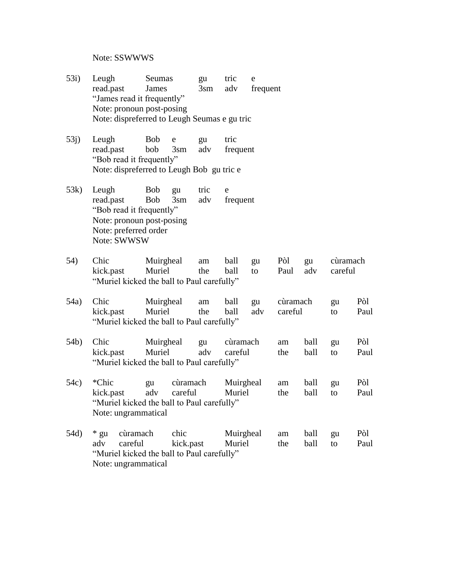Note: SSWWWS

- 53i) Leugh Seumas gu tric e read.past James 3sm adv frequent "James read it frequently" Note: pronoun post-posing Note: dispreferred to Leugh Seumas e gu tric
- 53j) Leugh Bob e gu tric read.past bob 3sm adv frequent "Bob read it frequently" Note: dispreferred to Leugh Bob gu tric e
- 53k) Leugh Bob gu tric e read.past Bob 3sm adv frequent "Bob read it frequently" Note: pronoun post-posing Note: preferred order Note: SWWSW
- 54) Chic Muirgheal am ball gu Pòl gu cùramach kick.past Muriel the ball to Paul adv careful "Muriel kicked the ball to Paul carefully"
- 54a) Chic Muirgheal am ball gu cùramach gu Pòl kick.past Muriel the ball adv careful to Paul "Muriel kicked the ball to Paul carefully"
- 54b) Chic Muirgheal gu cùramach am ball gu Pòl kick.past Muriel adv careful the ball to Paul "Muriel kicked the ball to Paul carefully"
- 54c) \*Chic gu cùramach Muirgheal am ball gu Pòl kick.past adv careful Muriel the ball to Paul "Muriel kicked the ball to Paul carefully" Note: ungrammatical
- 54d) \* gu cùramach chic Muirgheal am ball gu Pòl adv careful kick.past Muriel the ball to Paul "Muriel kicked the ball to Paul carefully" Note: ungrammatical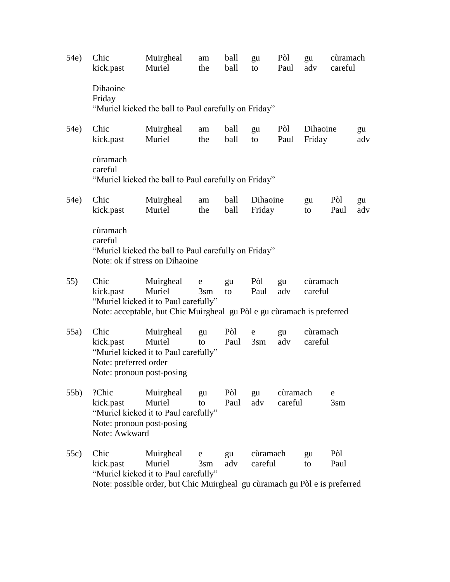| 54e) | Chic<br>kick.past                                                       | Muirgheal<br>Muriel                                                                                                                       | am<br>the                 | ball<br>ball | gu<br>to            | Pòl<br>Paul         | gu<br>adv           | cùramach<br>careful  |           |
|------|-------------------------------------------------------------------------|-------------------------------------------------------------------------------------------------------------------------------------------|---------------------------|--------------|---------------------|---------------------|---------------------|----------------------|-----------|
|      | Dihaoine<br>Friday                                                      | "Muriel kicked the ball to Paul carefully on Friday"                                                                                      |                           |              |                     |                     |                     |                      |           |
| 54e) | Chic<br>kick.past                                                       | Muirgheal<br>Muriel                                                                                                                       | am<br>the                 | ball<br>ball | gu<br>to            | Pòl<br>Paul         | Dihaoine<br>Friday  |                      | gu<br>adv |
|      | cùramach<br>careful                                                     | "Muriel kicked the ball to Paul carefully on Friday"                                                                                      |                           |              |                     |                     |                     |                      |           |
| 54e) | Chic<br>kick.past                                                       | Muirgheal<br>Muriel                                                                                                                       | am<br>the                 | ball<br>ball | Dihaoine<br>Friday  |                     | gu<br>to            | Pòl<br>Paul          | gu<br>adv |
|      | cùramach<br>careful                                                     | "Muriel kicked the ball to Paul carefully on Friday"<br>Note: ok if stress on Dihaoine                                                    |                           |              |                     |                     |                     |                      |           |
| 55)  | Chic<br>kick.past                                                       | Muirgheal<br>Muriel<br>"Muriel kicked it to Paul carefully"<br>Note: acceptable, but Chic Muirgheal gu Pòl e gu cùramach is preferred     | ${\rm e}$<br>$3\text{sm}$ | gu<br>to     | Pòl<br>Paul         | gu<br>adv           | cùramach<br>careful |                      |           |
| 55a) | Chic<br>kick.past<br>Note: preferred order<br>Note: pronoun post-posing | Muirgheal<br>Muriel<br>"Muriel kicked it to Paul carefully"                                                                               | gu<br>to                  | Pòl<br>Paul  | e<br>$3 \text{sm}$  | gu<br>adv           | cùramach<br>careful |                      |           |
| 55b) | ?Chic<br>kick.past<br>Note: pronoun post-posing<br>Note: Awkward        | Muirgheal<br>Muriel<br>"Muriel kicked it to Paul carefully"                                                                               | gu<br>to                  | Pòl<br>Paul  | gu<br>adv           | cùramach<br>careful |                     | e<br>3 <sub>sm</sub> |           |
| 55c) | Chic<br>kick.past                                                       | Muirgheal<br>Muriel<br>"Muriel kicked it to Paul carefully"<br>Note: possible order, but Chic Muirgheal gu cùramach gu Pòl e is preferred | e<br>$3\text{sm}$         | gu<br>adv    | cùramach<br>careful |                     | gu<br>to            | Pòl<br>Paul          |           |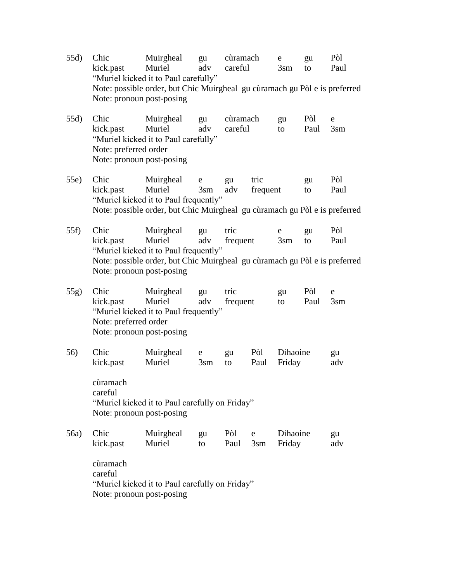- 55d) Chic Muirgheal gu cùramach e gu Pòl kick.past Muriel adv careful 3sm to Paul "Muriel kicked it to Paul carefully" Note: possible order, but Chic Muirgheal gu cùramach gu Pòl e is preferred Note: pronoun post-posing
- 55d) Chic Muirgheal gu cùramach gu Pòl e kick.past Muriel adv careful to Paul 3sm "Muriel kicked it to Paul carefully" Note: preferred order Note: pronoun post-posing
- 55e) Chic Muirgheal e gu tric gu Pòl kick.past Muriel 3sm adv frequent to Paul "Muriel kicked it to Paul frequently" Note: possible order, but Chic Muirgheal gu cùramach gu Pòl e is preferred
- 55f) Chic Muirgheal gu tric e gu Pòl kick.past Muriel adv frequent 3sm to Paul "Muriel kicked it to Paul frequently" Note: possible order, but Chic Muirgheal gu cùramach gu Pòl e is preferred Note: pronoun post-posing
- 55g) Chic Muirgheal gu tric gu Pòl e kick.past Muriel adv frequent to Paul 3sm "Muriel kicked it to Paul frequently" Note: preferred order Note: pronoun post-posing
- 56) Chic Muirgheal e gu Pòl Dihaoine gu kick.past Muriel 3sm to Paul Friday adv

cùramach careful "Muriel kicked it to Paul carefully on Friday" Note: pronoun post-posing

| 56a) Chic | Muirgheal gu Pòl e Dihaoine         |  |  | <u>gu</u> |
|-----------|-------------------------------------|--|--|-----------|
|           | kick.past Muriel to Paul 3sm Friday |  |  | adv       |
|           |                                     |  |  |           |

cùramach careful "Muriel kicked it to Paul carefully on Friday" Note: pronoun post-posing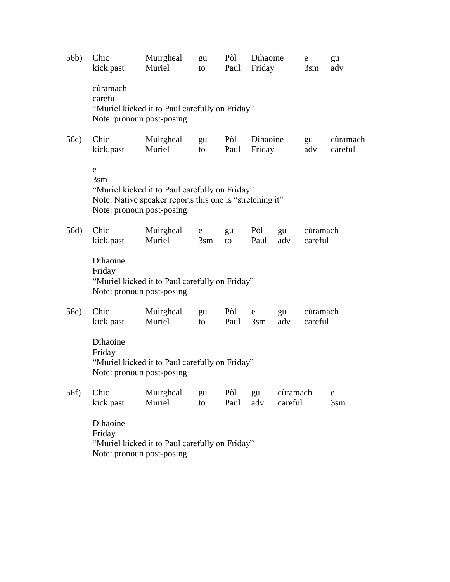| 56b) | Chic<br>kick.past                                                                                 | Muirgheal<br>Muriel                                                                                        | gu<br>to                                      | Pòl<br>Paul | Dihaoine<br>Friday |                     | ${\rm e}$<br>$3\text{sm}$ | gu<br>adv            |  |
|------|---------------------------------------------------------------------------------------------------|------------------------------------------------------------------------------------------------------------|-----------------------------------------------|-------------|--------------------|---------------------|---------------------------|----------------------|--|
|      | cùramach<br>careful                                                                               | "Muriel kicked it to Paul carefully on Friday"<br>Note: pronoun post-posing                                |                                               |             |                    |                     |                           |                      |  |
| 56c) | Chic<br>kick.past                                                                                 | Muirgheal<br>Muriel                                                                                        | Pòl<br>Dihaoine<br>gu<br>Friday<br>Paul<br>to |             |                    | gu<br>adv           | cùramach<br>careful       |                      |  |
|      | e<br>3 <sub>sm</sub><br>Note: pronoun post-posing                                                 | "Muriel kicked it to Paul carefully on Friday"<br>Note: Native speaker reports this one is "stretching it" |                                               |             |                    |                     |                           |                      |  |
| 56d) | Chic<br>kick.past                                                                                 | Muirgheal<br>Muriel                                                                                        | e<br>3 <sub>sm</sub>                          | gu<br>to    | Pòl<br>Paul        | gu<br>adv           | cùramach<br>careful       |                      |  |
|      | Dihaoine<br>Friday<br>Note: pronoun post-posing                                                   | "Muriel kicked it to Paul carefully on Friday"                                                             |                                               |             |                    |                     |                           |                      |  |
| 56e) | Chic<br>kick.past                                                                                 | Muirgheal<br>Muriel                                                                                        | gu<br>to                                      | Pòl<br>Paul | e<br>$3\text{sm}$  | gu<br>adv           | cùramach<br>careful       |                      |  |
|      | Dihaoine<br>Friday<br>"Muriel kicked it to Paul carefully on Friday"<br>Note: pronoun post-posing |                                                                                                            |                                               |             |                    |                     |                           |                      |  |
| 56f) | Chic<br>kick.past                                                                                 | Muirgheal<br>Muriel                                                                                        | gu<br>to                                      | Pòl<br>Paul | gu<br>adv          | cùramach<br>careful |                           | e<br>3 <sub>sm</sub> |  |
|      | Dihaoine<br>Friday<br>"Muriel kicked it to Paul carefully on Friday"<br>Note: pronoun post-posing |                                                                                                            |                                               |             |                    |                     |                           |                      |  |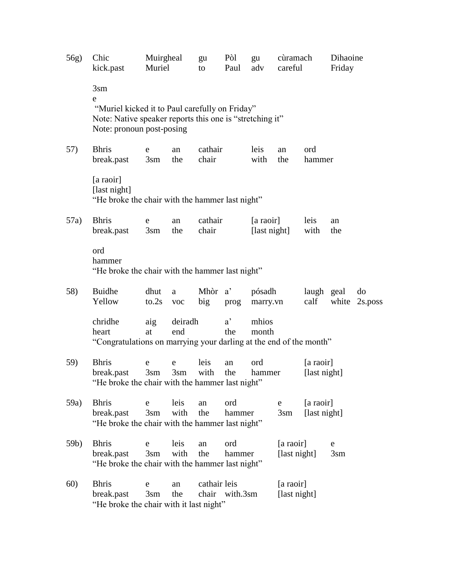| 56g) | Chic<br>kick.past                                                                      | Muirgheal<br>Muriel            |                | gu<br>to         | Pòl<br>Paul               | gu<br>adv          | cùramach<br>careful                               |                           | Dihaoine<br>Friday |                     |
|------|----------------------------------------------------------------------------------------|--------------------------------|----------------|------------------|---------------------------|--------------------|---------------------------------------------------|---------------------------|--------------------|---------------------|
|      | 3 <sub>sm</sub><br>e<br>"Muriel kicked it to Paul carefully on Friday"                 |                                |                |                  |                           |                    |                                                   |                           |                    |                     |
|      | Note: Native speaker reports this one is "stretching it"<br>Note: pronoun post-posing  |                                |                |                  |                           |                    |                                                   |                           |                    |                     |
| 57)  | <b>Bhris</b><br>break.past                                                             | e<br>$3\text{sm}$              | an<br>the      | cathair<br>chair |                           | leis<br>with       | ord<br>an<br>the<br>hammer                        |                           |                    |                     |
|      | [a raoir]<br>[last night]<br>"He broke the chair with the hammer last night"           |                                |                |                  |                           |                    |                                                   |                           |                    |                     |
| 57a) | <b>Bhris</b><br>break.past                                                             | e<br>$3\text{sm}$              | an<br>the      | cathair<br>chair | [a raoir]<br>[last night] |                    |                                                   | leis<br>with              | an<br>the          |                     |
|      | ord<br>hammer<br>"He broke the chair with the hammer last night"                       |                                |                |                  |                           |                    |                                                   |                           |                    |                     |
| 58)  | <b>Buidhe</b><br>Yellow                                                                | dhut<br>to.2s                  | a<br>$\rm VOC$ | Mhòr a'<br>big   | prog                      | pósadh<br>marry.vn |                                                   | laugh geal<br>calf        |                    | do<br>white 2s.poss |
|      | chridhe<br>heart<br>"Congratulations on marrying your darling at the end of the month" | aig<br>at                      | deiradh<br>end |                  | $a^{\prime}$<br>the       | mhios<br>month     |                                                   |                           |                    |                     |
| 59)  | <b>Bhris</b><br>break.past<br>"He broke the chair with the hammer last night"          | e<br>$3\text{sm}$ $3\text{sm}$ | e              | leis<br>with     | an<br>the                 | ord<br>hammer      |                                                   | [a raoir]<br>[last night] |                    |                     |
| 59a) | <b>Bhris</b><br>break.past<br>"He broke the chair with the hammer last night"          | e<br>$3 \text{sm}$             | leis<br>with   | an<br>the        | ord<br>hammer             |                    | ${\rm e}$<br>$3\text{sm}$                         | [a raoir]<br>[last night] |                    |                     |
| 59b) | <b>Bhris</b><br>break.past<br>"He broke the chair with the hammer last night"          | e<br>3 <sub>sm</sub>           | leis<br>with   | an<br>the        | ord<br>hammer             |                    | [a raoir]<br>e<br>[last night]<br>3 <sub>sm</sub> |                           |                    |                     |
| 60)  | <b>Bhris</b><br>break.past<br>"He broke the chair with it last night"                  | e<br>$3\text{sm}$              | an<br>the      | cathair leis     | chair with.3sm            |                    | [a raoir]<br>[last night]                         |                           |                    |                     |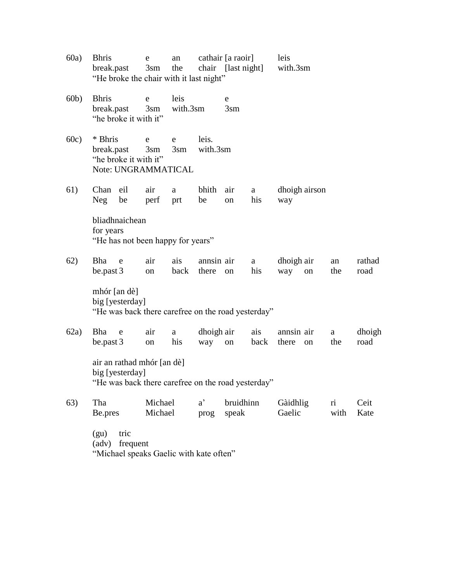- 60a) Bhris e an cathair [a raoir] leis break.past 3sm the chair [last night] with.3sm "He broke the chair with it last night"
- 60b) Bhris e leis e break.past 3sm with.3sm 3sm "he broke it with it"
- 60c) \* Bhris e e leis. break.past 3sm 3sm with.3sm "he broke it with it" Note: UNGRAMMATICAL
- 61) Chan eil air a bhith air a dhoigh airson Neg be perf prt be on his way

bliadhnaichean for years "He has not been happy for years"

62) Bha e air ais annsin air a dhoigh air an rathad be.past 3 on back there on his way on the road

mhór [an dè] big [yesterday] "He was back there carefree on the road yesterday"

- 62a) Bha e air a dhoigh air ais annsin air a dhoigh be.past 3 on his way on back there on the road air an rathad mhór [an dè] big [yesterday] "He was back there carefree on the road yesterday"
- 63) Tha Michael a' bruidhinn Gàidhlig ri Ceit Be.pres Michael prog speak Gaelic with Kate (gu) tric (adv) frequent

"Michael speaks Gaelic with kate often"